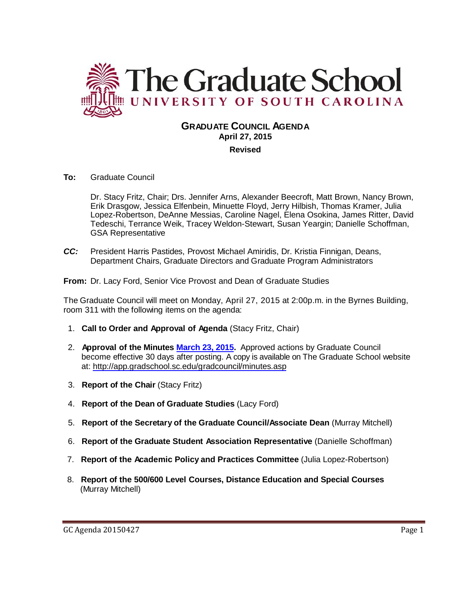

# **GRADUATE COUNCIL AGENDA April 27, 2015**

**Revised**

**To:** Graduate Council

Dr. Stacy Fritz, Chair; Drs. Jennifer Arns, Alexander Beecroft, Matt Brown, Nancy Brown, Erik Drasgow, Jessica Elfenbein, Minuette Floyd, Jerry Hilbish, Thomas Kramer, Julia Lopez-Robertson, DeAnne Messias, Caroline Nagel, Elena Osokina, James Ritter, David Tedeschi, Terrance Weik, Tracey Weldon-Stewart, Susan Yeargin; Danielle Schoffman, GSA Representative

*CC:* President Harris Pastides, Provost Michael Amiridis, Dr. Kristia Finnigan, Deans, Department Chairs, Graduate Directors and Graduate Program Administrators

**From:** Dr. Lacy Ford, Senior Vice Provost and Dean of Graduate Studies

The Graduate Council will meet on Monday, April 27, 2015 at 2:00p.m. in the Byrnes Building, room 311 with the following items on the agenda:

- 1. **Call to Order and Approval of Agenda** (Stacy Fritz, Chair)
- 2. **Approval of the Minutes [March 23, 2015.](http://gradschool.sc.edu/facstaff/gradcouncil/2014/GC%20Minutes%203%2023%2015.pdf)** Approved actions by Graduate Council become effective 30 days after posting. A copy is available on The Graduate School website at:<http://app.gradschool.sc.edu/gradcouncil/minutes.asp>
- 3. **Report of the Chair** (Stacy Fritz)
- 4. **Report of the Dean of Graduate Studies** (Lacy Ford)
- 5. **Report of the Secretary of the Graduate Council/Associate Dean** (Murray Mitchell)
- 6. **Report of the Graduate Student Association Representative** (Danielle Schoffman)
- 7. **Report of the Academic Policy and Practices Committee** (Julia Lopez-Robertson)
- 8. **Report of the 500/600 Level Courses, Distance Education and Special Courses** (Murray Mitchell)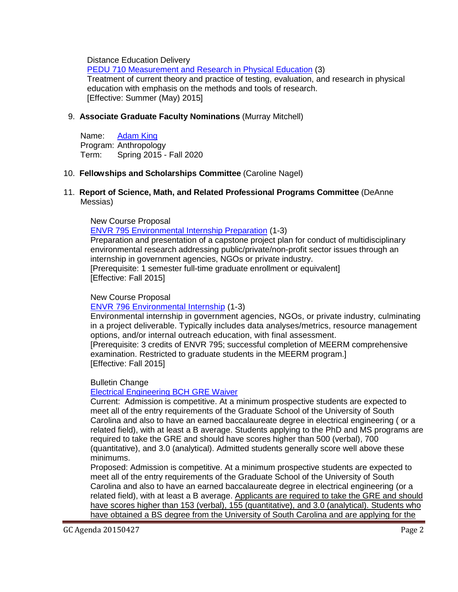Distance Education Delivery

PEDU 710 Measurement [and Research in Physical Education](http://gradschool.sc.edu/facstaff/gradcouncil/2014/PEDU%20710_Redacted.pdf) (3) Treatment of current theory and practice of testing, evaluation, and research in physical education with emphasis on the methods and tools of research. [Effective: Summer (May) 2015]

## 9. **Associate Graduate Faculty Nominations** (Murray Mitchell)

Name: [Adam King](http://gradschool.sc.edu/facstaff/gradcouncil/2014/King,%20Adam%20Anthropology_Redacted.pdf) Program: Anthropology Term: Spring 2015 - Fall 2020

## 10. **Fellowships and Scholarships Committee** (Caroline Nagel)

#### 11. **Report of Science, Math, and Related Professional Programs Committee** (DeAnne Messias)

#### New Course Proposal

[ENVR 795 Environmental Internship Preparation](http://gradschool.sc.edu/facstaff/gradcouncil/2014/ENVR%20795%20NCP-%20revised1.pdf) (1-3)

Preparation and presentation of a capstone project plan for conduct of multidisciplinary environmental research addressing public/private/non-profit sector issues through an internship in government agencies, NGOs or private industry. [Prerequisite: 1 semester full-time graduate enrollment or equivalent]

[Effective: Fall 2015]

### New Course Proposal

#### [ENVR 796 Environmental Internship](http://gradschool.sc.edu/facstaff/gradcouncil/2014/ENVR%20796%20NCP-%20revised1.pdf) (1-3)

Environmental internship in government agencies, NGOs, or private industry, culminating in a project deliverable. Typically includes data analyses/metrics, resource management options, and/or internal outreach education, with final assessment.

[Prerequisite: 3 credits of ENVR 795; successful completion of MEERM comprehensive examination. Restricted to graduate students in the MEERM program.] [Effective: Fall 2015]

Bulletin Change

## [Electrical Engineering BCH GRE Waiver](http://gradschool.sc.edu/facstaff/gradcouncil/2014/Electrical%20Engineering%20BCH%20GRE%20Waiver_Redacted1.pdf)

Current: Admission is competitive. At a minimum prospective students are expected to meet all of the entry requirements of the Graduate School of the University of South Carolina and also to have an earned baccalaureate degree in electrical engineering ( or a related field), with at least a B average. Students applying to the PhD and MS programs are required to take the GRE and should have scores higher than 500 (verbal), 700 (quantitative), and 3.0 (analytical). Admitted students generally score well above these minimums.

Proposed: Admission is competitive. At a minimum prospective students are expected to meet all of the entry requirements of the Graduate School of the University of South Carolina and also to have an earned baccalaureate degree in electrical engineering (or a related field), with at least a B average. Applicants are required to take the GRE and should have scores higher than 153 (verbal), 155 (quantitative), and 3.0 (analytical). Students who have obtained a BS degree from the University of South Carolina and are applying for the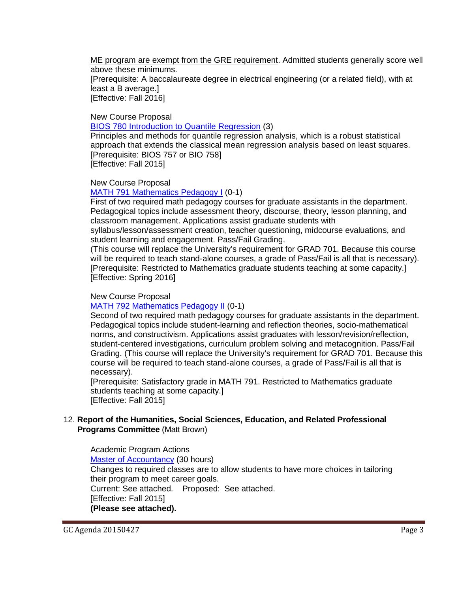ME program are exempt from the GRE requirement. Admitted students generally score well above these minimums.

[Prerequisite: A baccalaureate degree in electrical engineering (or a related field), with at least a B average.] [Effective: Fall 2016]

New Course Proposal

[BIOS 780 Introduction to Quantile Regression](http://gradschool.sc.edu/facstaff/gradcouncil/2014/BIOS%20780%20Introduction%20to%20Quantille%20Regression.pdf) (3)

Principles and methods for quantile regression analysis, which is a robust statistical approach that extends the classical mean regression analysis based on least squares. [Prerequisite: BIOS 757 or BIO 758] [Effective: Fall 2015]

New Course Proposal

[MATH 791 Mathematics Pedagogy I](http://gradschool.sc.edu/facstaff/gradcouncil/2014/MATH%20791%20GA%20Teaching%20Methods%201-MATH%20791%20Mathematics%20Pedagogy%20I.pdf) (0-1)

First of two required math pedagogy courses for graduate assistants in the department. Pedagogical topics include assessment theory, discourse, theory, lesson planning, and classroom management. Applications assist graduate students with

syllabus/lesson/assessment creation, teacher questioning, midcourse evaluations, and student learning and engagement. Pass/Fail Grading.

(This course will replace the University's requirement for GRAD 701. Because this course will be required to teach stand-alone courses, a grade of Pass/Fail is all that is necessary). [Prerequisite: Restricted to Mathematics graduate students teaching at some capacity.] [Effective: Spring 2016]

#### New Course Proposal

#### [MATH 792 Mathematics Pedagogy II](http://gradschool.sc.edu/facstaff/gradcouncil/2014/MATH%20792%20GA%20Teaching%20Methods%202-Pedgogy%20II.pdf) (0-1)

Second of two required math pedagogy courses for graduate assistants in the department. Pedagogical topics include student-learning and reflection theories, socio-mathematical norms, and constructivism. Applications assist graduates with lesson/revision/reflection, student-centered investigations, curriculum problem solving and metacognition. Pass/Fail Grading. (This course will replace the University's requirement for GRAD 701. Because this course will be required to teach stand-alone courses, a grade of Pass/Fail is all that is necessary).

[Prerequisite: Satisfactory grade in MATH 791. Restricted to Mathematics graduate students teaching at some capacity.] [Effective: Fall 2015]

## 12. **Report of the Humanities, Social Sciences, Education, and Related Professional Programs Committee** (Matt Brown)

Academic Program Actions [Master of Accountancy](http://gradschool.sc.edu/facstaff/gradcouncil/2014/Master%20of%20Accountancy%20APA_Redacted2.pdf) (30 hours) Changes to required classes are to allow students to have more choices in tailoring their program to meet career goals. Current: See attached. Proposed: See attached. [Effective: Fall 2015] **(Please see attached).**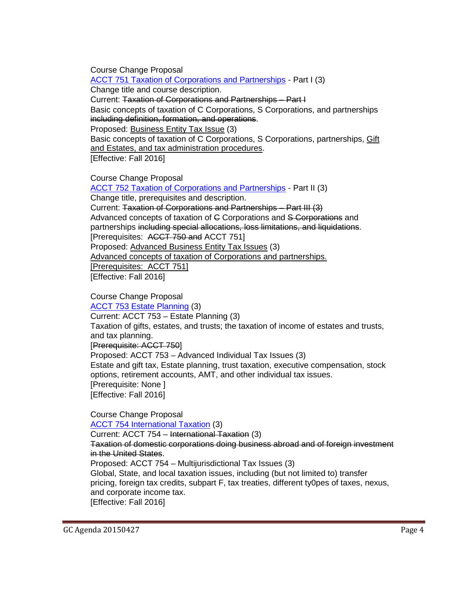Course Change Proposal

[ACCT 751 Taxation of Corporations and Partnerships](http://gradschool.sc.edu/facstaff/gradcouncil/2014/ACCT%20751%20CCP_Redacted2.pdf) - Part I (3) Change title and course description. Current: Taxation of Corporations and Partnerships – Part I Basic concepts of taxation of C Corporations, S Corporations, and partnerships including definition, formation, and operations. Proposed: Business Entity Tax Issue (3) Basic concepts of taxation of C Corporations, S Corporations, partnerships, Gift and Estates, and tax administration procedures. [Effective: Fall 2016]

Course Change Proposal

[ACCT 752 Taxation of Corporations and Partnerships](http://gradschool.sc.edu/facstaff/gradcouncil/2014/ACCT%20752%20CCP_Redacted2.pdf) - Part II (3) Change title, prerequisites and description. Current: Taxation of Corporations and Partnerships – Part III (3) Advanced concepts of taxation of G Corporations and S Corporations and partnerships including special allocations, loss limitations, and liquidations. [Prerequisites: ACCT 750 and ACCT 751] Proposed: Advanced Business Entity Tax Issues (3) Advanced concepts of taxation of Corporations and partnerships. [Prerequisites: ACCT 751] [Effective: Fall 2016]

Course Change Proposal

[ACCT 753 Estate Planning](http://gradschool.sc.edu/facstaff/gradcouncil/2014/ACCT%20753%20CCP_Redacted2.pdf) (3)

Current: ACCT 753 – Estate Planning (3)

Taxation of gifts, estates, and trusts; the taxation of income of estates and trusts, and tax planning.

[Prerequisite: ACCT 750]

Proposed: ACCT 753 – Advanced Individual Tax Issues (3)

Estate and gift tax, Estate planning, trust taxation, executive compensation, stock options, retirement accounts, AMT, and other individual tax issues. [Prerequisite: None ]

[Effective: Fall 2016]

Course Change Proposal

[ACCT 754 International Taxation](http://gradschool.sc.edu/facstaff/gradcouncil/2014/ACCT%20754%20CCP_Redacted3.pdf) (3)

Current: ACCT 754 – International Taxation (3) Taxation of domestic corporations doing business abroad and of foreign investment in the United States.

Proposed: ACCT 754 – Multijurisdictional Tax Issues (3) Global, State, and local taxation issues, including (but not limited to) transfer pricing, foreign tax credits, subpart F, tax treaties, different ty0pes of taxes, nexus, and corporate income tax. [Effective: Fall 2016]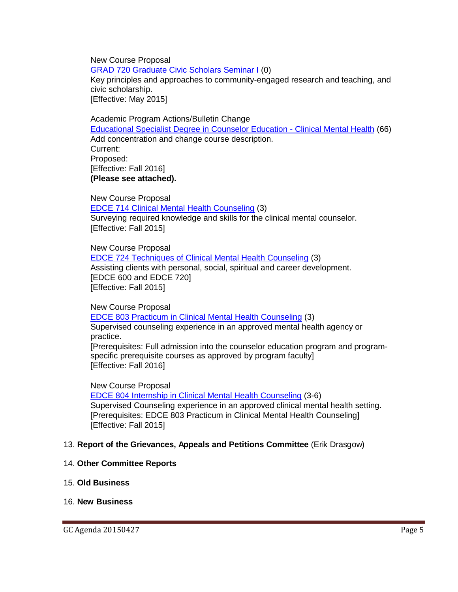New Course Proposal

[GRAD 720 Graduate Civic Scholars Seminar I](http://gradschool.sc.edu/facstaff/gradcouncil/2014/Graduate%20Civic%20Scholars%20Seminar%201_Redacted.pdf) (0)

Key principles and approaches to community-engaged research and teaching, and civic scholarship.

[Effective: May 2015]

Academic Program Actions/Bulletin Change [Educational Specialist Degree in Counselor Education -](http://gradschool.sc.edu/facstaff/gradcouncil/2014/EdS%20Counselor%20Educ%20APA_Redacted2.pdf) Clinical Mental Health (66) Add concentration and change course description. Current: Proposed: [Effective: Fall 2016] **(Please see attached).** 

New Course Proposal [EDCE 714 Clinical Mental Health Counseling](http://gradschool.sc.edu/facstaff/gradcouncil/2014/EDCE%20714%20NCP_Redacted1.pdf) (3) Surveying required knowledge and skills for the clinical mental counselor. [Effective: Fall 2015]

New Course Proposal [EDCE 724 Techniques of Clinical Mental Health Counseling](http://gradschool.sc.edu/facstaff/gradcouncil/2014/EDCE%20724%20NCP_Redacted1.pdf) (3) Assisting clients with personal, social, spiritual and career development. [EDCE 600 and EDCE 720] [Effective: Fall 2015]

New Course Proposal [EDCE 803 Practicum in Clinical Mental Health Counseling](http://gradschool.sc.edu/facstaff/gradcouncil/2014/EDCE%20803%20NCP_Redacted1.pdf) (3) Supervised counseling experience in an approved mental health agency or practice. [Prerequisites: Full admission into the counselor education program and programspecific prerequisite courses as approved by program faculty] [Effective: Fall 2016]

New Course Proposal [EDCE 804 Internship in Clinical Mental Health Counseling](http://gradschool.sc.edu/facstaff/gradcouncil/2014/EDCE%20804%20NCP_Redacted1.pdf) (3-6) Supervised Counseling experience in an approved clinical mental health setting. [Prerequisites: EDCE 803 Practicum in Clinical Mental Health Counseling] [Effective: Fall 2015]

#### 13. **Report of the Grievances, Appeals and Petitions Committee** (Erik Drasgow)

- 14. **Other Committee Reports**
- 15. **Old Business**

#### 16. **New Business**